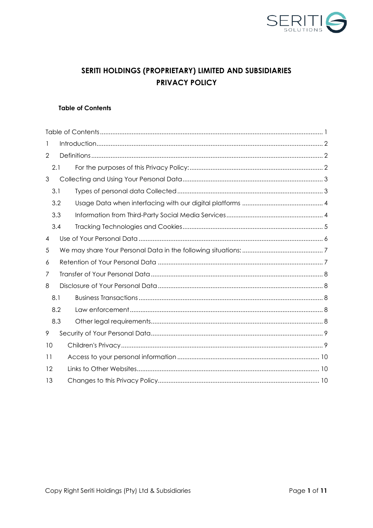

# SERITI HOLDINGS (PROPRIETARY) LIMITED AND SUBSIDIARIES **PRIVACY POLICY**

# <span id="page-0-0"></span>**Table of Contents**

| 1  |     |  |
|----|-----|--|
| 2  |     |  |
|    | 2.1 |  |
| 3  |     |  |
|    | 3.1 |  |
|    | 3.2 |  |
|    | 3.3 |  |
|    | 3.4 |  |
| 4  |     |  |
| 5  |     |  |
| 6  |     |  |
| 7  |     |  |
| 8  |     |  |
|    | 8.1 |  |
|    | 8.2 |  |
|    | 8.3 |  |
| 9  |     |  |
| 10 |     |  |
| 11 |     |  |
|    | 12  |  |
|    | 13  |  |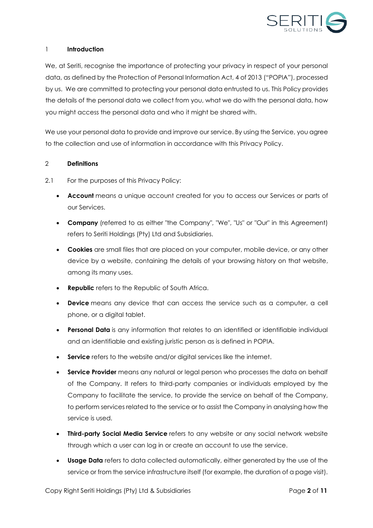

#### <span id="page-1-0"></span>1 **Introduction**

We, at Seriti, recognise the importance of protecting your privacy in respect of your personal data, as defined by the Protection of Personal Information Act, 4 of 2013 ("POPIA"), processed by us. We are committed to protecting your personal data entrusted to us. This Policy provides the details of the personal data we collect from you, what we do with the personal data, how you might access the personal data and who it might be shared with.

We use your personal data to provide and improve our service. By using the Service, you agree to the collection and use of information in accordance with this Privacy Policy.

### <span id="page-1-1"></span>2 **Definitions**

- <span id="page-1-2"></span>2.1 For the purposes of this Privacy Policy:
	- **Account** means a unique account created for you to access our Services or parts of our Services.
	- **Company** (referred to as either "the Company", "We", "Us" or "Our" in this Agreement) refers to Seriti Holdings (Pty) Ltd and Subsidiaries.
	- **Cookies** are small files that are placed on your computer, mobile device, or any other device by a website, containing the details of your browsing history on that website, among its many uses.
	- **Republic** refers to the Republic of South Africa.
	- **Device** means any device that can access the service such as a computer, a cell phone, or a digital tablet.
	- **Personal Data** is any information that relates to an identified or identifiable individual and an identifiable and existing juristic person as is defined in POPIA.
	- **Service** refers to the website and/or digital services like the internet.
	- **Service Provider** means any natural or legal person who processes the data on behalf of the Company. It refers to third-party companies or individuals employed by the Company to facilitate the service, to provide the service on behalf of the Company, to perform services related to the service or to assist the Company in analysing how the service is used.
	- **Third-party Social Media Service** refers to any website or any social network website through which a user can log in or create an account to use the service.
	- **Usage Data** refers to data collected automatically, either generated by the use of the service or from the service infrastructure itself (for example, the duration of a page visit).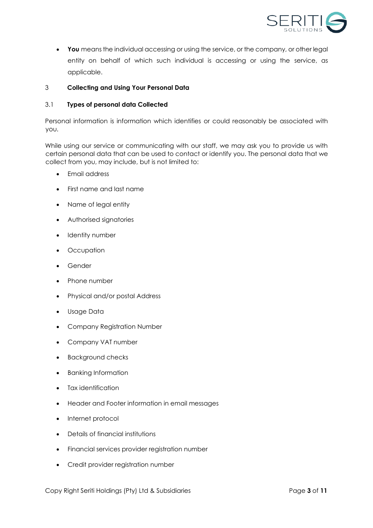

• **You** means the individual accessing or using the service, or the company, or other legal entity on behalf of which such individual is accessing or using the service, as applicable.

# <span id="page-2-0"></span>3 **Collecting and Using Your Personal Data**

## <span id="page-2-1"></span>3.1 **Types of personal data Collected**

Personal information is information which identifies or could reasonably be associated with you.

While using our service or communicating with our staff, we may ask you to provide us with certain personal data that can be used to contact or identify you. The personal data that we collect from you, may include, but is not limited to:

- Email address
- First name and last name
- Name of legal entity
- Authorised signatories
- Identity number
- Occupation
- Gender
- Phone number
- Physical and/or postal Address
- Usage Data
- Company Registration Number
- Company VAT number
- Background checks
- Banking Information
- Tax identification
- Header and Footer information in email messages
- Internet protocol
- Details of financial institutions
- Financial services provider registration number
- Credit provider registration number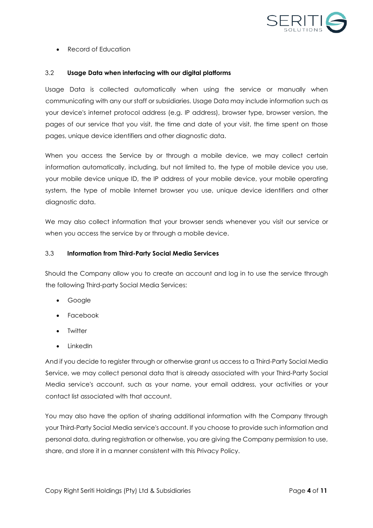

• Record of Education

## <span id="page-3-0"></span>3.2 **Usage Data when interfacing with our digital platforms**

Usage Data is collected automatically when using the service or manually when communicating with any our staff or subsidiaries. Usage Data may include information such as your device's internet protocol address (e.g. IP address), browser type, browser version, the pages of our service that you visit, the time and date of your visit, the time spent on those pages, unique device identifiers and other diagnostic data.

When you access the Service by or through a mobile device, we may collect certain information automatically, including, but not limited to, the type of mobile device you use, your mobile device unique ID, the IP address of your mobile device, your mobile operating system, the type of mobile Internet browser you use, unique device identifiers and other diagnostic data.

We may also collect information that your browser sends whenever you visit our service or when you access the service by or through a mobile device.

### <span id="page-3-1"></span>3.3 **Information from Third-Party Social Media Services**

Should the Company allow you to create an account and log in to use the service through the following Third-party Social Media Services:

- Google
- Facebook
- Twitter
- LinkedIn

And if you decide to register through or otherwise grant us access to a Third-Party Social Media Service, we may collect personal data that is already associated with your Third-Party Social Media service's account, such as your name, your email address, your activities or your contact list associated with that account.

You may also have the option of sharing additional information with the Company through your Third-Party Social Media service's account. If you choose to provide such information and personal data, during registration or otherwise, you are giving the Company permission to use, share, and store it in a manner consistent with this Privacy Policy.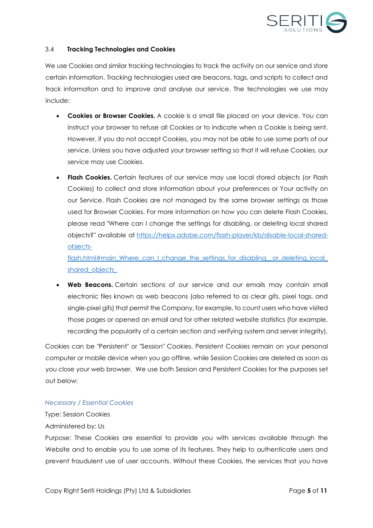

### <span id="page-4-0"></span>3.4 **Tracking Technologies and Cookies**

We use Cookies and similar tracking technologies to track the activity on our service and store certain information. Tracking technologies used are beacons, tags, and scripts to collect and track information and to improve and analyse our service. The technologies we use may include:

- **Cookies or Browser Cookies.** A cookie is a small file placed on your device. You can instruct your browser to refuse all Cookies or to indicate when a Cookie is being sent. However, if you do not accept Cookies, you may not be able to use some parts of our service. Unless you have adjusted your browser setting so that it will refuse Cookies, our service may use Cookies.
- **Flash Cookies.** Certain features of our service may use local stored objects (or Flash Cookies) to collect and store information about your preferences or Your activity on our Service. Flash Cookies are not managed by the same browser settings as those used for Browser Cookies. For more information on how you can delete Flash Cookies, please read "Where can I change the settings for disabling, or deleting local shared objects?" available at [https://helpx.adobe.com/flash-player/kb/disable-local-shared](https://helpx.adobe.com/flash-player/kb/disable-local-shared-objects-flash.html#main_Where_can_I_change_the_settings_for_disabling__or_deleting_local_shared_objects_)[objects-](https://helpx.adobe.com/flash-player/kb/disable-local-shared-objects-flash.html#main_Where_can_I_change_the_settings_for_disabling__or_deleting_local_shared_objects_)

flash.html#main\_Where\_can\_I\_change\_the\_settings\_for\_disabling\_\_or\_deleting\_local [shared\\_objects\\_](https://helpx.adobe.com/flash-player/kb/disable-local-shared-objects-flash.html#main_Where_can_I_change_the_settings_for_disabling__or_deleting_local_shared_objects_)

• **Web Beacons.** Certain sections of our service and our emails may contain small electronic files known as web beacons (also referred to as clear gifs, pixel tags, and single-pixel gifs) that permit the Company, for example, to count users who have visited those pages or opened an email and for other related website statistics (for example, recording the popularity of a certain section and verifying system and server integrity).

Cookies can be "Persistent" or "Session" Cookies. Persistent Cookies remain on your personal computer or mobile device when you go offline, while Session Cookies are deleted as soon as you close your web browser. We use both Session and Persistent Cookies for the purposes set out below:

#### *Necessary / Essential Cookies*

Type: Session Cookies

Administered by: Us

Purpose: These Cookies are essential to provide you with services available through the Website and to enable you to use some of its features. They help to authenticate users and prevent fraudulent use of user accounts. Without these Cookies, the services that you have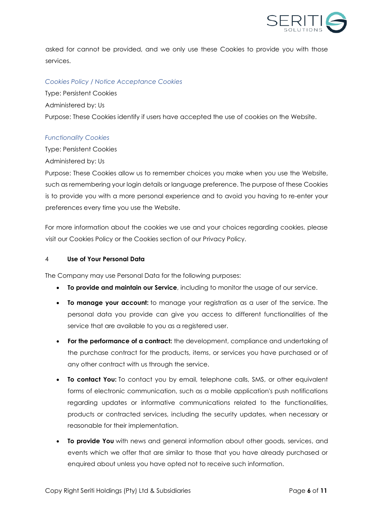

asked for cannot be provided, and we only use these Cookies to provide you with those services.

## *Cookies Policy / Notice Acceptance Cookies*

Type: Persistent Cookies Administered by: Us Purpose: These Cookies identify if users have accepted the use of cookies on the Website.

#### *Functionality Cookies*

Type: Persistent Cookies

### Administered by: Us

Purpose: These Cookies allow us to remember choices you make when you use the Website, such as remembering your login details or language preference. The purpose of these Cookies is to provide you with a more personal experience and to avoid you having to re-enter your preferences every time you use the Website.

For more information about the cookies we use and your choices regarding cookies, please visit our Cookies Policy or the Cookies section of our Privacy Policy.

### <span id="page-5-0"></span>4 **Use of Your Personal Data**

The Company may use Personal Data for the following purposes:

- **To provide and maintain our Service**, including to monitor the usage of our service.
- **To manage your account:** to manage your registration as a user of the service. The personal data you provide can give you access to different functionalities of the service that are available to you as a registered user.
- **For the performance of a contract:** the development, compliance and undertaking of the purchase contract for the products, items, or services you have purchased or of any other contract with us through the service.
- **To contact You:** To contact you by email, telephone calls, SMS, or other equivalent forms of electronic communication, such as a mobile application's push notifications regarding updates or informative communications related to the functionalities, products or contracted services, including the security updates, when necessary or reasonable for their implementation.
- **To provide You** with news and general information about other goods, services, and events which we offer that are similar to those that you have already purchased or enquired about unless you have opted not to receive such information.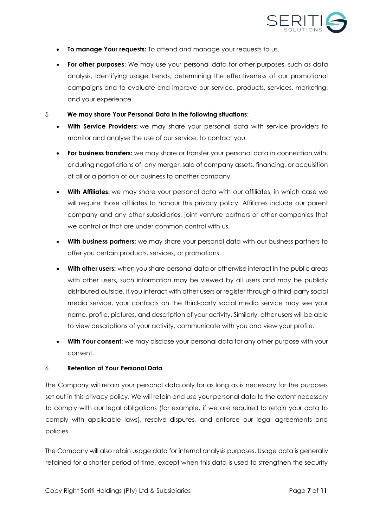

- **To manage Your requests:** To attend and manage your requests to us.
- **For other purposes**: We may use your personal data for other purposes, such as data analysis, identifying usage trends, determining the effectiveness of our promotional campaigns and to evaluate and improve our service, products, services, marketing, and your experience.

#### <span id="page-6-0"></span>5 **We may share Your Personal Data in the following situations**:

- **With Service Providers:** we may share your personal data with service providers to monitor and analyse the use of our service, to contact you.
- **For business transfers:** we may share or transfer your personal data in connection with, or during negotiations of, any merger, sale of company assets, financing, or acquisition of all or a portion of our business to another company.
- **With Affiliates:** we may share your personal data with our affiliates, in which case we will require those affiliates to honour this privacy policy. Affiliates include our parent company and any other subsidiaries, joint venture partners or other companies that we control or that are under common control with us.
- **With business partners:** we may share your personal data with our business partners to offer you certain products, services, or promotions.
- **With other users:** when you share personal data or otherwise interact in the public areas with other users, such information may be viewed by all users and may be publicly distributed outside. if you interact with other users or register through a third-party social media service, your contacts on the third-party social media service may see your name, profile, pictures, and description of your activity. Similarly, other users will be able to view descriptions of your activity, communicate with you and view your profile.
- **With Your consent**: we may disclose your personal data for any other purpose with your consent.

#### <span id="page-6-1"></span>6 **Retention of Your Personal Data**

The Company will retain your personal data only for as long as is necessary for the purposes set out in this privacy policy. We will retain and use your personal data to the extent necessary to comply with our legal obligations (for example, if we are required to retain your data to comply with applicable laws), resolve disputes, and enforce our legal agreements and policies.

The Company will also retain usage data for internal analysis purposes. Usage data is generally retained for a shorter period of time, except when this data is used to strengthen the security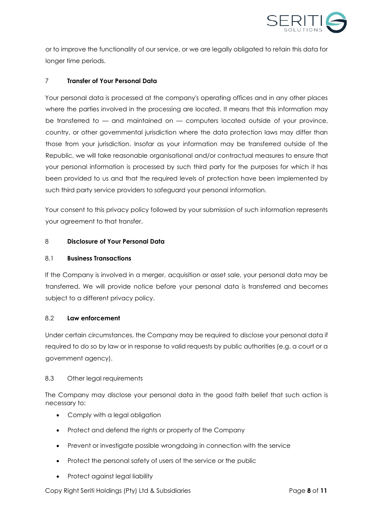

or to improve the functionality of our service, or we are legally obligated to retain this data for longer time periods.

# <span id="page-7-0"></span>7 **Transfer of Your Personal Data**

Your personal data is processed at the company's operating offices and in any other places where the parties involved in the processing are located. It means that this information may be transferred to — and maintained on — computers located outside of your province, country, or other governmental jurisdiction where the data protection laws may differ than those from your jurisdiction. Insofar as your information may be transferred outside of the Republic, we will take reasonable organisational and/or contractual measures to ensure that your personal information is processed by such third party for the purposes for which it has been provided to us and that the required levels of protection have been implemented by such third party service providers to safeguard your personal information.

Your consent to this privacy policy followed by your submission of such information represents your agreement to that transfer.

# <span id="page-7-1"></span>8 **Disclosure of Your Personal Data**

### <span id="page-7-2"></span>8.1 **Business Transactions**

If the Company is involved in a merger, acquisition or asset sale, your personal data may be transferred. We will provide notice before your personal data is transferred and becomes subject to a different privacy policy.

#### <span id="page-7-3"></span>8.2 **Law enforcement**

Under certain circumstances, the Company may be required to disclose your personal data if required to do so by law or in response to valid requests by public authorities (e.g. a court or a government agency).

# <span id="page-7-4"></span>8.3 Other legal requirements

The Company may disclose your personal data in the good faith belief that such action is necessary to:

- Comply with a legal obligation
- Protect and defend the rights or property of the Company
- Prevent or investigate possible wrongdoing in connection with the service
- Protect the personal safety of users of the service or the public
- Protect against legal liability

Copy Right Seriti Holdings (Pty) Ltd & Subsidiaries Page **8** of **11**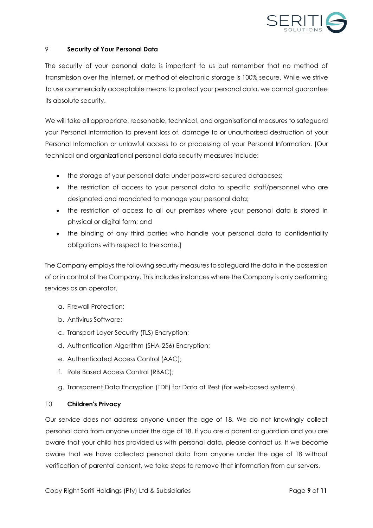

## <span id="page-8-0"></span>9 **Security of Your Personal Data**

The security of your personal data is important to us but remember that no method of transmission over the internet, or method of electronic storage is 100% secure. While we strive to use commercially acceptable means to protect your personal data, we cannot guarantee its absolute security.

We will take all appropriate, reasonable, technical, and organisational measures to safeguard your Personal Information to prevent loss of, damage to or unauthorised destruction of your Personal Information or unlawful access to or processing of your Personal Information. [Our technical and organizational personal data security measures include:

- the storage of your personal data under password-secured databases;
- the restriction of access to your personal data to specific staff/personnel who are designated and mandated to manage your personal data;
- the restriction of access to all our premises where your personal data is stored in physical or digital form; and
- the binding of any third parties who handle your personal data to confidentiality obligations with respect to the same.]

The Company employs the following security measures to safeguard the data in the possession of or in control of the Company. This includes instances where the Company is only performing services as an operator.

- <span id="page-8-1"></span>a. Firewall Protection;
- b. Antivirus Software;
- c. Transport Layer Security (TLS) Encryption;
- d. Authentication Algorithm (SHA-256) Encryption;
- e. Authenticated Access Control (AAC);
- f. Role Based Access Control (RBAC);
- g. Transparent Data Encryption (TDE) for Data at Rest (for web-based systems).

# 10 **Children's Privacy**

Our service does not address anyone under the age of 18. We do not knowingly collect personal data from anyone under the age of 18. If you are a parent or guardian and you are aware that your child has provided us with personal data, please contact us. If we become aware that we have collected personal data from anyone under the age of 18 without verification of parental consent, we take steps to remove that information from our servers.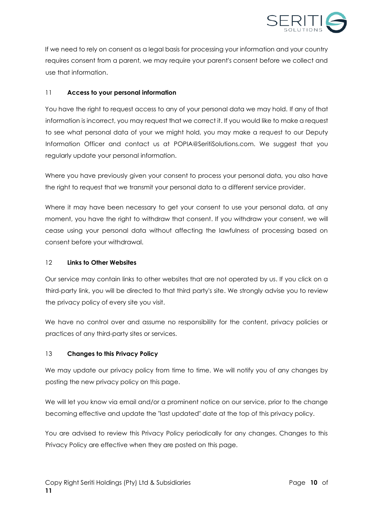

If we need to rely on consent as a legal basis for processing your information and your country requires consent from a parent, we may require your parent's consent before we collect and use that information.

# <span id="page-9-0"></span>11 **Access to your personal information**

You have the right to request access to any of your personal data we may hold. If any of that information is incorrect, you may request that we correct it. If you would like to make a request to see what personal data of your we might hold, you may make a request to our Deputy Information Officer and contact us at POPIA@SeritiSolutions.com. We suggest that you regularly update your personal information.

Where you have previously given your consent to process your personal data, you also have the right to request that we transmit your personal data to a different service provider.

Where it may have been necessary to get your consent to use your personal data, at any moment, you have the right to withdraw that consent. If you withdraw your consent, we will cease using your personal data without affecting the lawfulness of processing based on consent before your withdrawal.

# <span id="page-9-1"></span>12 **Links to Other Websites**

Our service may contain links to other websites that are not operated by us. If you click on a third-party link, you will be directed to that third party's site. We strongly advise you to review the privacy policy of every site you visit.

We have no control over and assume no responsibility for the content, privacy policies or practices of any third-party sites or services.

# <span id="page-9-2"></span>13 **Changes to this Privacy Policy**

We may update our privacy policy from time to time. We will notify you of any changes by posting the new privacy policy on this page.

We will let you know via email and/or a prominent notice on our service, prior to the change becoming effective and update the "last updated" date at the top of this privacy policy.

You are advised to review this Privacy Policy periodically for any changes. Changes to this Privacy Policy are effective when they are posted on this page.